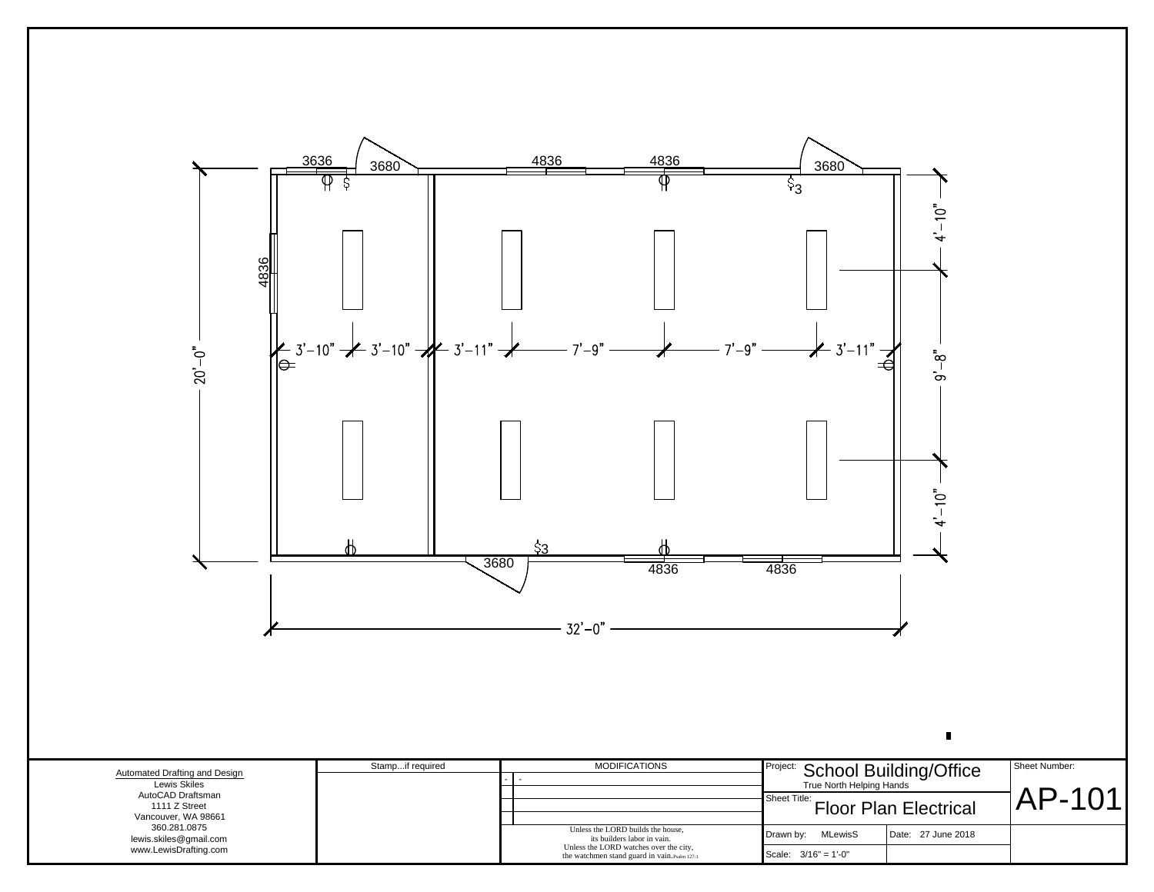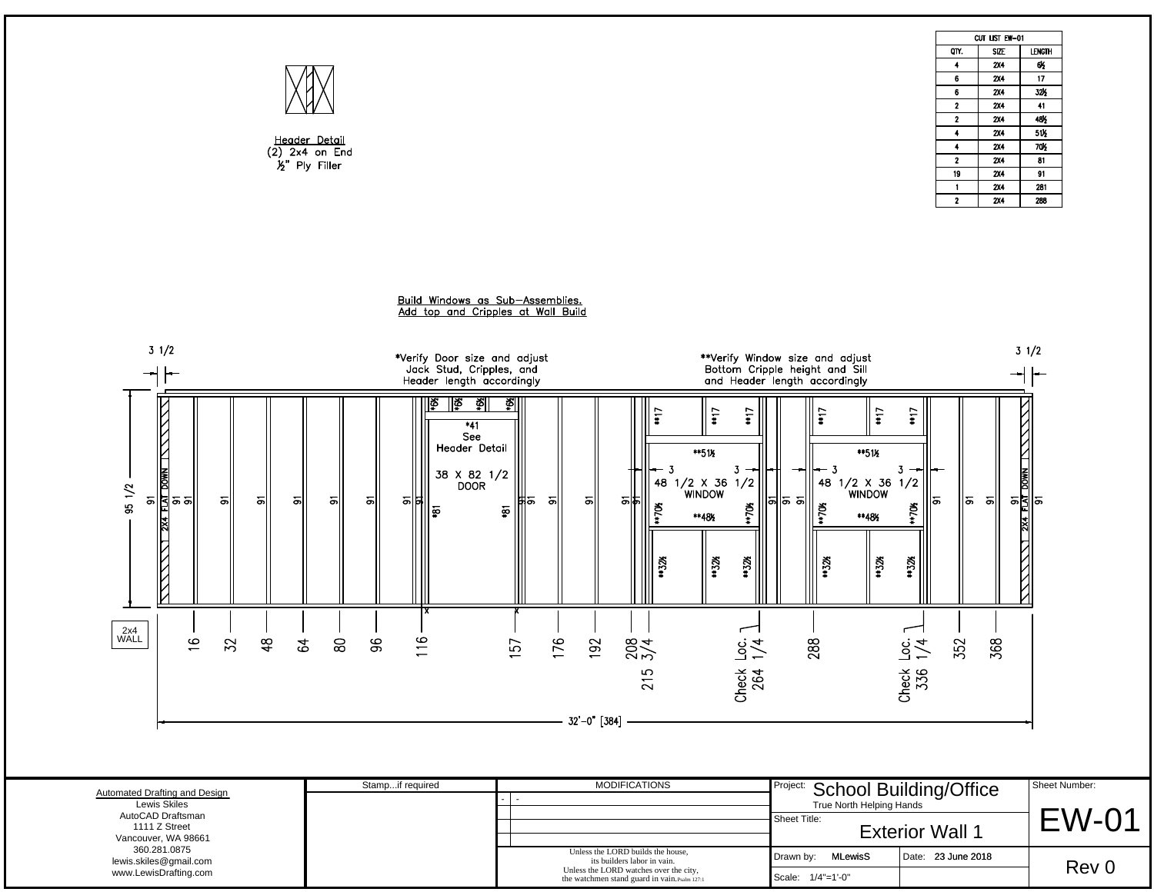|                                                                                                                                                                                                            |                                                                                                                                                                                                                                                            |                                                                   |                                                                                                                                                                                                                                                     |                                                                                                 |                                           | CUT LIST EW-01                            |                               |
|------------------------------------------------------------------------------------------------------------------------------------------------------------------------------------------------------------|------------------------------------------------------------------------------------------------------------------------------------------------------------------------------------------------------------------------------------------------------------|-------------------------------------------------------------------|-----------------------------------------------------------------------------------------------------------------------------------------------------------------------------------------------------------------------------------------------------|-------------------------------------------------------------------------------------------------|-------------------------------------------|-------------------------------------------|-------------------------------|
|                                                                                                                                                                                                            |                                                                                                                                                                                                                                                            |                                                                   |                                                                                                                                                                                                                                                     |                                                                                                 | OIY.                                      | SIZE                                      | <b>LENGTH</b>                 |
|                                                                                                                                                                                                            |                                                                                                                                                                                                                                                            |                                                                   |                                                                                                                                                                                                                                                     |                                                                                                 | $\ddot{\phantom{1}}$                      | 2X4                                       | 65                            |
|                                                                                                                                                                                                            |                                                                                                                                                                                                                                                            |                                                                   |                                                                                                                                                                                                                                                     |                                                                                                 | $6\phantom{.0}$                           | <b>2X4</b>                                | 17                            |
|                                                                                                                                                                                                            |                                                                                                                                                                                                                                                            |                                                                   |                                                                                                                                                                                                                                                     |                                                                                                 | $6\phantom{.0}$                           | 2X4                                       | 32%                           |
|                                                                                                                                                                                                            |                                                                                                                                                                                                                                                            |                                                                   |                                                                                                                                                                                                                                                     |                                                                                                 | $\mathbf{2}$<br>$\overline{2}$            | 2X4<br><b>2X4</b>                         | 41<br>48 <sub>2</sub>         |
|                                                                                                                                                                                                            |                                                                                                                                                                                                                                                            |                                                                   |                                                                                                                                                                                                                                                     |                                                                                                 | $\overline{4}$                            | <b>2X4</b>                                | 51%                           |
| Header Detail                                                                                                                                                                                              |                                                                                                                                                                                                                                                            |                                                                   |                                                                                                                                                                                                                                                     |                                                                                                 | $\ddot{\bullet}$                          | 2X4                                       | 70%                           |
| $(2)$ 2x4 on End                                                                                                                                                                                           |                                                                                                                                                                                                                                                            |                                                                   |                                                                                                                                                                                                                                                     |                                                                                                 | $\overline{\mathbf{2}}$                   | <b>2X4</b>                                | 81                            |
| $\mathcal{L}$ " Ply Filler                                                                                                                                                                                 |                                                                                                                                                                                                                                                            |                                                                   |                                                                                                                                                                                                                                                     |                                                                                                 | 19                                        | 2X4                                       | 91                            |
|                                                                                                                                                                                                            |                                                                                                                                                                                                                                                            |                                                                   |                                                                                                                                                                                                                                                     |                                                                                                 | $\mathbf{1}$                              | <b>2X4</b>                                | 281                           |
|                                                                                                                                                                                                            |                                                                                                                                                                                                                                                            |                                                                   |                                                                                                                                                                                                                                                     |                                                                                                 | $\overline{2}$                            | <b>2X4</b>                                | 288                           |
| $3 \frac{1}{2}$<br>$\begin{array}{c}\n 91 \\  \hline\n 1 \\  91 \\  91 \\  91\n\end{array}$<br>95 1/2<br>5<br>히<br>의<br>의<br>$\frac{1}{2}$<br>$2x4$<br>WALL<br>$\frac{6}{2}$<br>52<br>48<br>$\mathfrak{P}$ | Build Windows as Sub-Assemblies.<br>Add top and Cripples at Wall Build<br>*Verify Door size and adjust<br>Jack Stud, Cripples, and<br>Header length accordingly<br>∥ৡ<br>ৠ<br>≣≣<br>$*41$<br>See<br>Header Detail<br>38 X 82 1/2<br>DOOR<br>히<br>의법<br>စွာ | ॐ॥<br>$\frac{1}{2}$<br>48<br>히<br>৯া৯<br>헤<br>*705<br>ឆ្ន<br>4326 | **Verify Window size and adjust<br>Bottom Cripple height and Sill<br>and Header length accordingly<br>$*17$<br>$+17$<br>**51%<br>$3 -$<br>$\begin{array}{c} \n1/2 \times 36 \quad 1/2 \\ \hline\n\end{array}$<br> ಽ ಽ∥<br>**70\$<br>**48%<br>** 32% | $*17$<br>11<br>**51%<br>3.<br>48<br>1/2 X 36 1/2<br>WINDOW<br>*70%<br>** 48%<br>**32%<br>$*326$ | $\overline{5}$<br>∥ವ<br>*70\$<br>**32%    | $\frac{91}{\frac{91}{91}}$ DOWN 1<br>ଟ୍ଟା | $3 \frac{1}{2}$               |
|                                                                                                                                                                                                            | 116<br>$80$<br>96                                                                                                                                                                                                                                          | 176<br>192<br>208<br>157<br>215<br>$-32' - 0$ " [384] $-$         | 288<br>$rac{c}{\sqrt{4}}$<br>Check<br>264                                                                                                                                                                                                           |                                                                                                 | 352<br>$rac{c}{\sqrt{2}}$<br>Check<br>336 | 368                                       |                               |
| Automated Drafting and Design<br><b>Lewis Skiles</b><br>AutoCAD Draftsman<br>1111 Z Street                                                                                                                 | Stampif required                                                                                                                                                                                                                                           | <b>MODIFICATIONS</b>                                              | Project:<br>Sheet Title:                                                                                                                                                                                                                            | School Building/Office                                                                          |                                           |                                           | Sheet Number:<br><b>EW-01</b> |
| Vancouver, WA 98661                                                                                                                                                                                        |                                                                                                                                                                                                                                                            |                                                                   |                                                                                                                                                                                                                                                     |                                                                                                 | <b>Exterior Wall 1</b>                    |                                           |                               |
| 360.281.0875<br>lewis.skiles@gmail.com                                                                                                                                                                     |                                                                                                                                                                                                                                                            | Unless the LORD builds the house,<br>its builders labor in vain.  | Drawn by:                                                                                                                                                                                                                                           | <b>MLewisS</b>                                                                                  | Date: 23 June 2018                        |                                           | Rev 0                         |

|                                               | Stampif required | <b>MODIFICATIONS</b>                                                                    | Project: School Building/Office |                        | Sheet Number: |
|-----------------------------------------------|------------------|-----------------------------------------------------------------------------------------|---------------------------------|------------------------|---------------|
| Automated Drafting and Design<br>Lewis Skiles |                  |                                                                                         | True North Helping Hands        |                        |               |
| AutoCAD Draftsman                             |                  |                                                                                         | Sheet Title:                    |                        | ⊂\Λ/-         |
| 1111 Z Street                                 |                  |                                                                                         |                                 | <b>Exterior Wall 1</b> |               |
| Vancouver, WA 98661                           |                  |                                                                                         |                                 |                        |               |
| 360.281.0875<br>lewis.skiles@gmail.com        |                  | Unless the LORD builds the house.<br>its builders labor in vain.                        | <b>MLewisS</b><br>Drawn by:     | Date: 23 June 2018     |               |
| www.LewisDrafting.com                         |                  | Unless the LORD watches over the city,<br>the watchmen stand guard in vain. Psalm 127:1 | Scale: $1/4$ "=1'-0"            |                        | Rev 0         |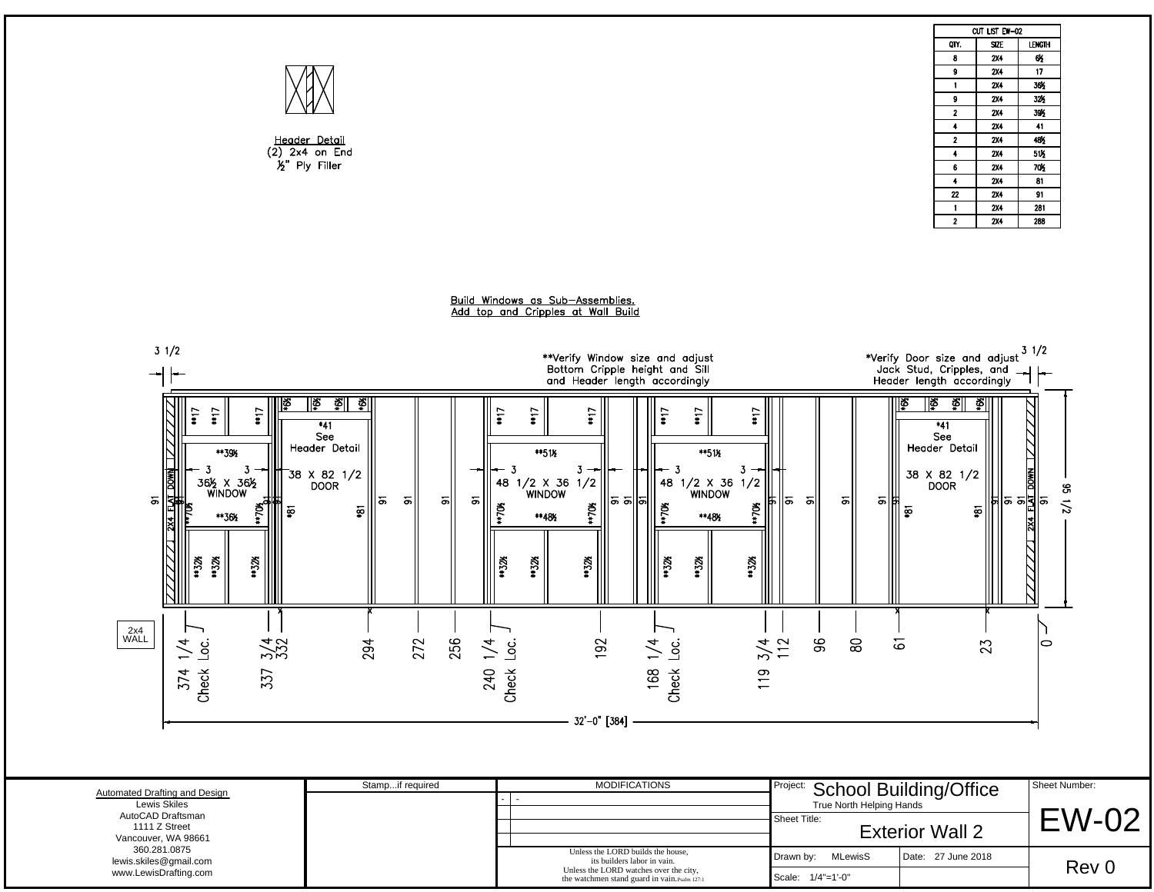|                                                                                                                                                   | Header Detail<br>$(2)$ 2x4 on End<br>$\frac{1}{2}$ " Ply Filler                                                                           |                                                                                                                                                                                                                                                                                           |                                          | CUT LIST EW-02<br>QTY.<br><b>SIZE</b><br><b>2X4</b><br>8<br><b>2X4</b><br>9<br><b>2X4</b><br>$\mathbf{1}$<br>9<br><b>2X4</b><br>$\overline{2}$<br><b>2X4</b><br>$\ddot{\bullet}$<br><b>2X4</b><br>$\overline{2}$<br><b>2X4</b><br><b>2X4</b><br>$\ddot{\bullet}$<br>2X4<br>6<br><b>2X4</b><br>$\ddot{\bullet}$<br>${\bf 22}$<br><b>2X4</b><br>$\blacksquare$<br><b>2X4</b><br>$\overline{2}$<br>2X4 | LENGTH<br>65<br>17<br>36%<br>32%<br>39%<br>41<br>48½<br>51%<br><b>70%</b><br>81<br>91<br>281<br>288 |
|---------------------------------------------------------------------------------------------------------------------------------------------------|-------------------------------------------------------------------------------------------------------------------------------------------|-------------------------------------------------------------------------------------------------------------------------------------------------------------------------------------------------------------------------------------------------------------------------------------------|------------------------------------------|-----------------------------------------------------------------------------------------------------------------------------------------------------------------------------------------------------------------------------------------------------------------------------------------------------------------------------------------------------------------------------------------------------|-----------------------------------------------------------------------------------------------------|
|                                                                                                                                                   |                                                                                                                                           | Build Windows as Sub-Assemblies.<br>Add top and Cripples at Wall Build                                                                                                                                                                                                                    |                                          |                                                                                                                                                                                                                                                                                                                                                                                                     |                                                                                                     |
| $3 \frac{1}{2}$<br>∽                                                                                                                              |                                                                                                                                           | **Verify Window size and adjust<br>Bottom Cripple height and Sill<br>and Header length accordingly                                                                                                                                                                                        |                                          | *Verify Door size and adjust $3\frac{1}{2}$<br>Jack Stud, Cripples, and $ +$ $+$<br>Header length accordingly                                                                                                                                                                                                                                                                                       |                                                                                                     |
| ∥ା⊗<br>**17<br>$\frac{1}{4}$<br>$\frac{1}{4}$<br>**39%<br>361/2 X 361/2<br>WINDOW<br>5<br>$2\times 4$ FLAT<br>థ్<br>**36%<br>**32%<br>**32%<br>Ķ, | <u>ই ই</u><br>∥⊗<br>$*41$<br>See<br>Header Detail<br>$-38$ X 82 1/2<br>DOOR<br>히<br>$\overline{5}$<br>5<br>ञ<br>$\overline{\mathfrak{s}}$ | $\frac{1}{2}$<br>$\frac{1}{2}$<br>$\ddot{\mathbf{u}}$<br>$\frac{1}{2}$<br>$\frac{1}{2}$<br>**51%<br>**51%<br>$3 -$<br>-3<br>3<br>48 1/2 X 36 1/2<br>WINDOW<br>48 1/2 X 36 1/2<br>WINDOW<br>호의의<br>**70\$<br>**70\$<br>#70\$<br>Ř<br>**48%<br>**48½<br>44.326<br>432%<br>Š,<br>4328<br>Ķб, | 해<br>5<br>허<br>5                         | ∥ইু<br>∥ ≱<br>Š,<br>*41<br>See<br>Header Detail<br>38 X 82 1/2<br><b>DOOR</b><br>5<br>$\overline{5}$<br>థ                                                                                                                                                                                                                                                                                           | $7772$ 2x4 FLAT DOWN 177777<br>91<br>35/1/2                                                         |
| 2x4<br>WALL<br>$\frac{4}{1}$<br>$\frac{5}{4}$<br>نە<br>374<br>Check<br>337                                                                        | 256<br>294<br>272<br>$\geq$<br>240                                                                                                        | 192<br>نە<br>نەر<br>$\frac{3}{4}$<br>Check<br>168<br>Check<br>$\frac{9}{1}$<br>$32' - 0"$ [384]                                                                                                                                                                                           | 96<br>$80\,$<br>112                      | 61<br>23                                                                                                                                                                                                                                                                                                                                                                                            | $\circ$                                                                                             |
|                                                                                                                                                   | Stampif required                                                                                                                          | <b>MODIFICATIONS</b>                                                                                                                                                                                                                                                                      | Project:                                 |                                                                                                                                                                                                                                                                                                                                                                                                     | Sheet Number:                                                                                       |
| Automated Drafting and Design<br>Lewis Skiles<br>AutoCAD Draftsman<br>1111 Z Street<br>Vancouver, WA 98661                                        |                                                                                                                                           |                                                                                                                                                                                                                                                                                           | True North Helping Hands<br>Sheet Title: | <b>School Building/Office</b><br><b>Exterior Wall 2</b>                                                                                                                                                                                                                                                                                                                                             | <b>EW-02</b>                                                                                        |
| 360.281.0875<br>lewis.skiles@gmail.com<br>www.LewisDrafting.com                                                                                   |                                                                                                                                           | Unless the LORD builds the house,<br>its builders labor in vain.<br>Unless the LORD watches over the city,<br>the watchmen stand guard in vain. Psalm 127:                                                                                                                                | Drawn by: MLewisS<br>Scale: 1/4"=1'-0"   | Date: 27 June 2018                                                                                                                                                                                                                                                                                                                                                                                  | Rev 0                                                                                               |

Drawn by: MLewisS | Date: 27 June 2018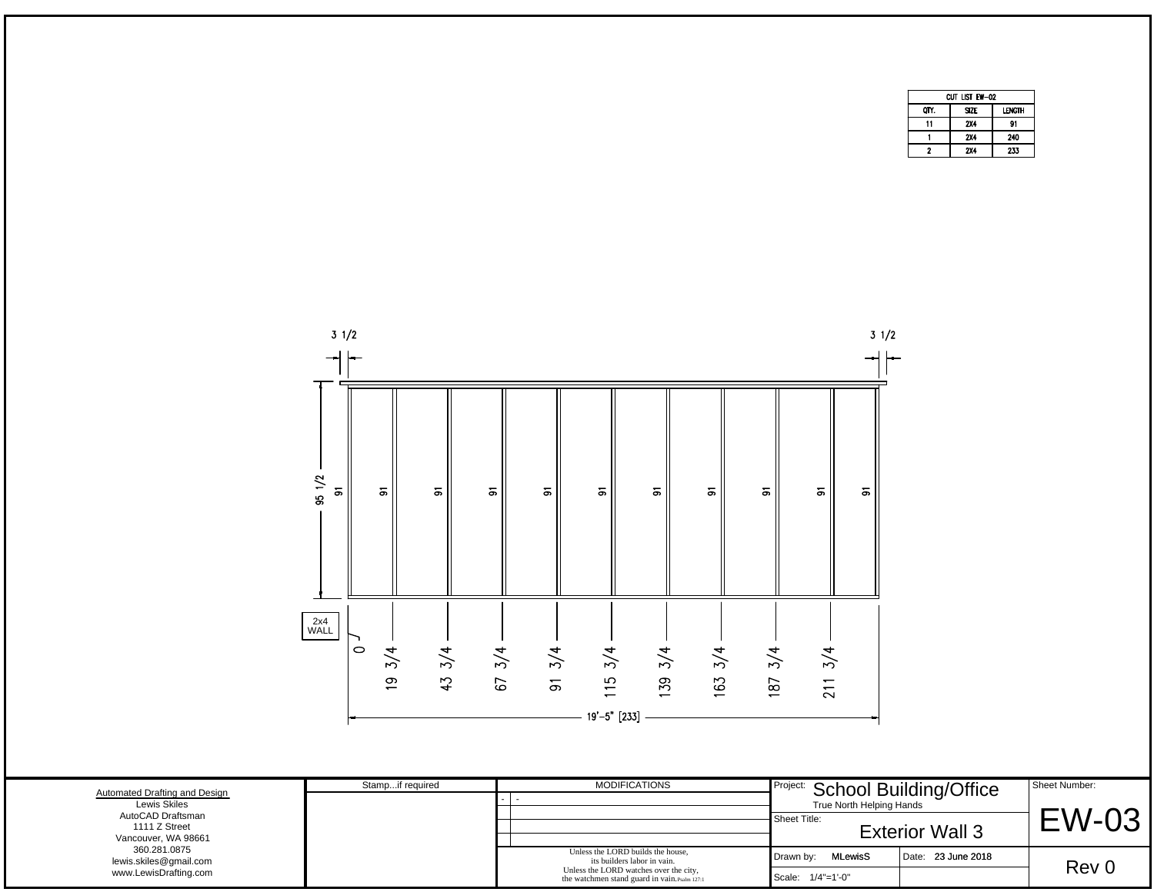|      | Cut list ew—02 |               |
|------|----------------|---------------|
| OTY. | <b>SIZE</b>    | <b>LENGTH</b> |
| 11   | 2X4            | 91            |
|      | <b>2X4</b>     | 240           |
| 2    | <b>2X4</b>     | 233           |



|                                                                                                            | $\overline{5}$   | 45 | 67 | $\overline{5}$ | ပ<br>$19' - 5"$ [233]                                                                                                                                       | 59 | Č<br>ڞ | 5                                 | $\overline{\phantom{0}}$<br>$\overline{\phantom{0}}$<br>$\sim$ |                                                           |                               |
|------------------------------------------------------------------------------------------------------------|------------------|----|----|----------------|-------------------------------------------------------------------------------------------------------------------------------------------------------------|----|--------|-----------------------------------|----------------------------------------------------------------|-----------------------------------------------------------|-------------------------------|
| Automated Drafting and Design<br>Lewis Skiles<br>AutoCAD Draftsman<br>1111 Z Street<br>Vancouver, WA 98661 | Stampif required |    |    |                | <b>MODIFICATIONS</b>                                                                                                                                        |    |        | Sheet Title:                      | True North Helping Hands                                       | Project: School Building/Office<br><b>Exterior Wall 3</b> | Sheet Number:<br><b>EW-03</b> |
| 360.281.0875<br>lewis.skiles@gmail.com<br>www.LewisDrafting.com                                            |                  |    |    |                | Unless the LORD builds the house.<br>its builders labor in vain.<br>Unless the LORD watches over the city,<br>the watchmen stand guard in vain. Psalm 127:1 |    |        | Drawn by:<br>Scale: $1/4$ "=1'-0" | <b>MLewisS</b>                                                 | Date: 23 June 2018                                        | Rev 0                         |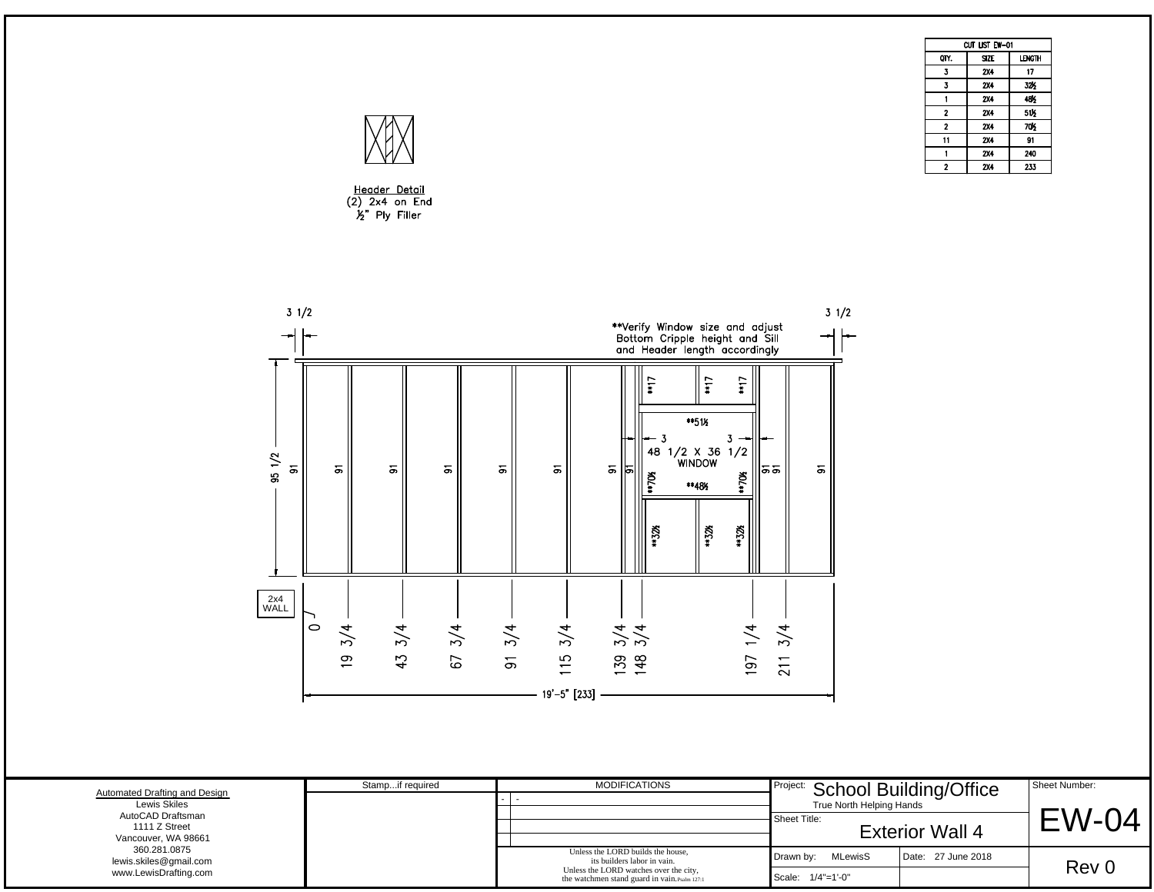|             | Cut list EW-01 |               |
|-------------|----------------|---------------|
|             |                |               |
| OTY.        | <b>SIZE</b>    | <b>LENGTH</b> |
| 3           | 2X4            | 17            |
| 3           | 2X4            | 32%           |
|             | 2X4            | 48%           |
| $\mathbf 2$ | <b>2X4</b>     | 51%           |
| $\mathbf 2$ | 2X4            | 70K           |
| 11          | 2X4            | 91            |
|             | 2X4            | 240           |
| 2           | 2X4            | 233           |



Header Detail<br>(2) 2x4 on End<br>½" Ply Filler



|                                                                                                            |                  | $19' - 5''$ [233] -                                                                                                                                         |                                                                             |                        |                               |
|------------------------------------------------------------------------------------------------------------|------------------|-------------------------------------------------------------------------------------------------------------------------------------------------------------|-----------------------------------------------------------------------------|------------------------|-------------------------------|
|                                                                                                            |                  |                                                                                                                                                             |                                                                             |                        |                               |
| Automated Drafting and Design<br>Lewis Skiles<br>AutoCAD Draftsman<br>1111 Z Street<br>Vancouver, WA 98661 | Stampif required | <b>MODIFICATIONS</b><br>- 1                                                                                                                                 | Project: School Building/Office<br>True North Helping Hands<br>Sheet Title: | <b>Exterior Wall 4</b> | Sheet Number:<br><b>EW-04</b> |
| 360.281.0875<br>lewis.skiles@gmail.com<br>www.LewisDrafting.com                                            |                  | Unless the LORD builds the house.<br>its builders labor in vain.<br>Unless the LORD watches over the city,<br>the watchmen stand guard in vain. Psalm 127:1 | <b>MLewisS</b><br>Drawn by:<br>Scale: $1/4$ "=1'-0"                         | Date: 27 June 2018     | Rev 0                         |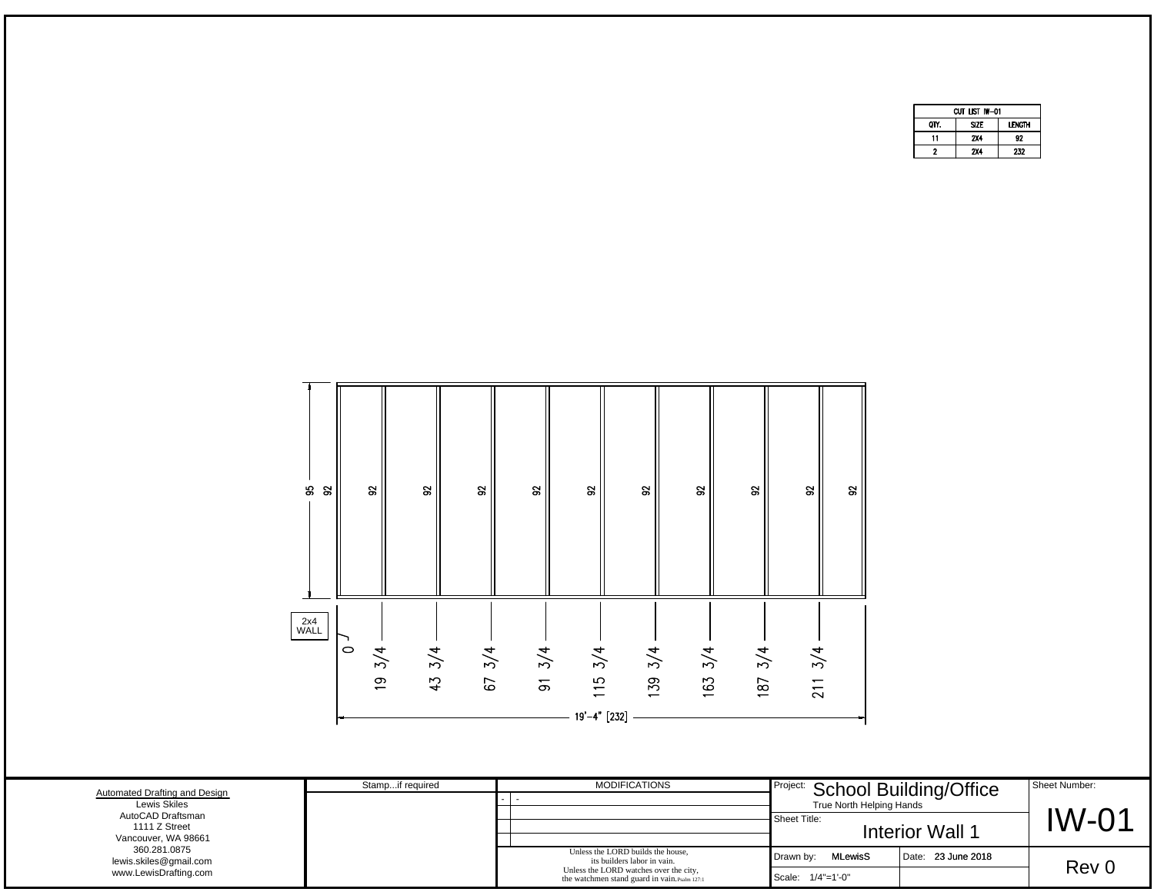|      | CUT LIST IW-01 |               |
|------|----------------|---------------|
| OIY. | SI7F           | <b>LENGTH</b> |
| 11   | 2X4            | 92            |
| 2    | 2X4            | 232           |



|                                                                                                            | $\overline{5}$   | M<br>67<br>↤ | ပ<br>$\overline{5}$<br>19'-4" [232] | -39                                                                                                                                                         | 63<br>187<br>$\overline{\phantom{0}}$ | $\overline{\phantom{0}}$<br>$\sim$ |                                                           |               |
|------------------------------------------------------------------------------------------------------------|------------------|--------------|-------------------------------------|-------------------------------------------------------------------------------------------------------------------------------------------------------------|---------------------------------------|------------------------------------|-----------------------------------------------------------|---------------|
|                                                                                                            | Stampif required |              |                                     | <b>MODIFICATIONS</b>                                                                                                                                        |                                       |                                    |                                                           | Sheet Number: |
| Automated Drafting and Design<br>Lewis Skiles<br>AutoCAD Draftsman<br>1111 Z Street<br>Vancouver, WA 98661 |                  |              |                                     |                                                                                                                                                             | Sheet Title:                          | True North Helping Hands           | Project: School Building/Office<br><b>Interior Wall 1</b> | <b>IW-01</b>  |
| 360.281.0875<br>lewis.skiles@gmail.com<br>www.LewisDrafting.com                                            |                  |              |                                     | Unless the LORD builds the house,<br>its builders labor in vain.<br>Unless the LORD watches over the city,<br>the watchmen stand guard in vain. Psalm 127:1 | Drawn by:                             | MLewisS<br>Scale: $1/4$ "=1'-0"    | Date: 23 June 2018                                        | Rev 0         |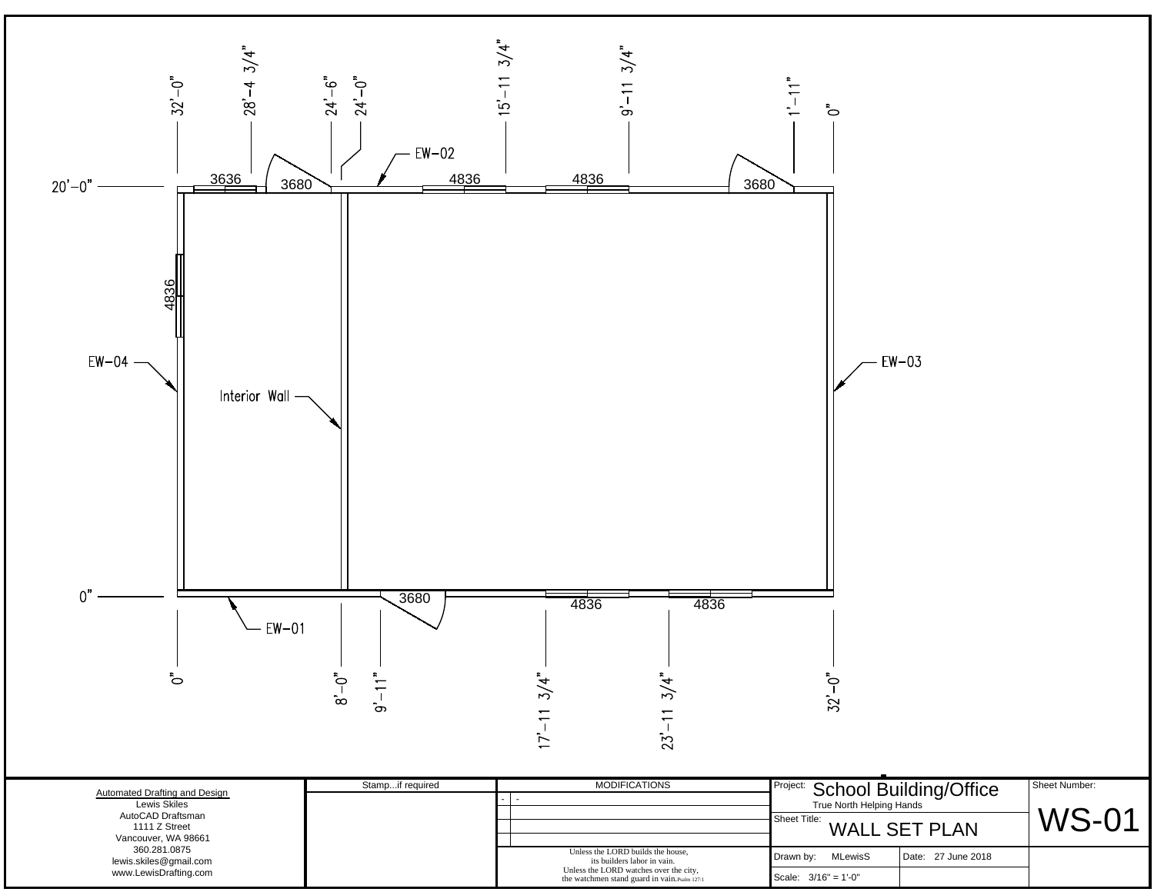

|                                                           | ິ                | M<br>$\sim$                                                                             | .                           |                                 |               |
|-----------------------------------------------------------|------------------|-----------------------------------------------------------------------------------------|-----------------------------|---------------------------------|---------------|
| Automated Drafting and Design<br>Lewis Skiles             | Stampif required | <b>MODIFICATIONS</b>                                                                    | True North Helping Hands    | Project: School Building/Office | Sheet Number: |
| AutoCAD Draftsman<br>1111 Z Street<br>Vancouver, WA 98661 |                  |                                                                                         | Sheet Title:                | <b>WALL SET PLAN</b>            | WS-01         |
| 360.281.0875<br>lewis.skiles@gmail.com                    |                  | Unless the LORD builds the house.<br>its builders labor in vain.                        | <b>MLewisS</b><br>Drawn by: | Date: 27 June 2018              |               |
| www.LewisDrafting.com                                     |                  | Unless the LORD watches over the city,<br>the watchmen stand guard in vain. Psalm 127:1 | Scale: $3/16" = 1'-0"$      |                                 |               |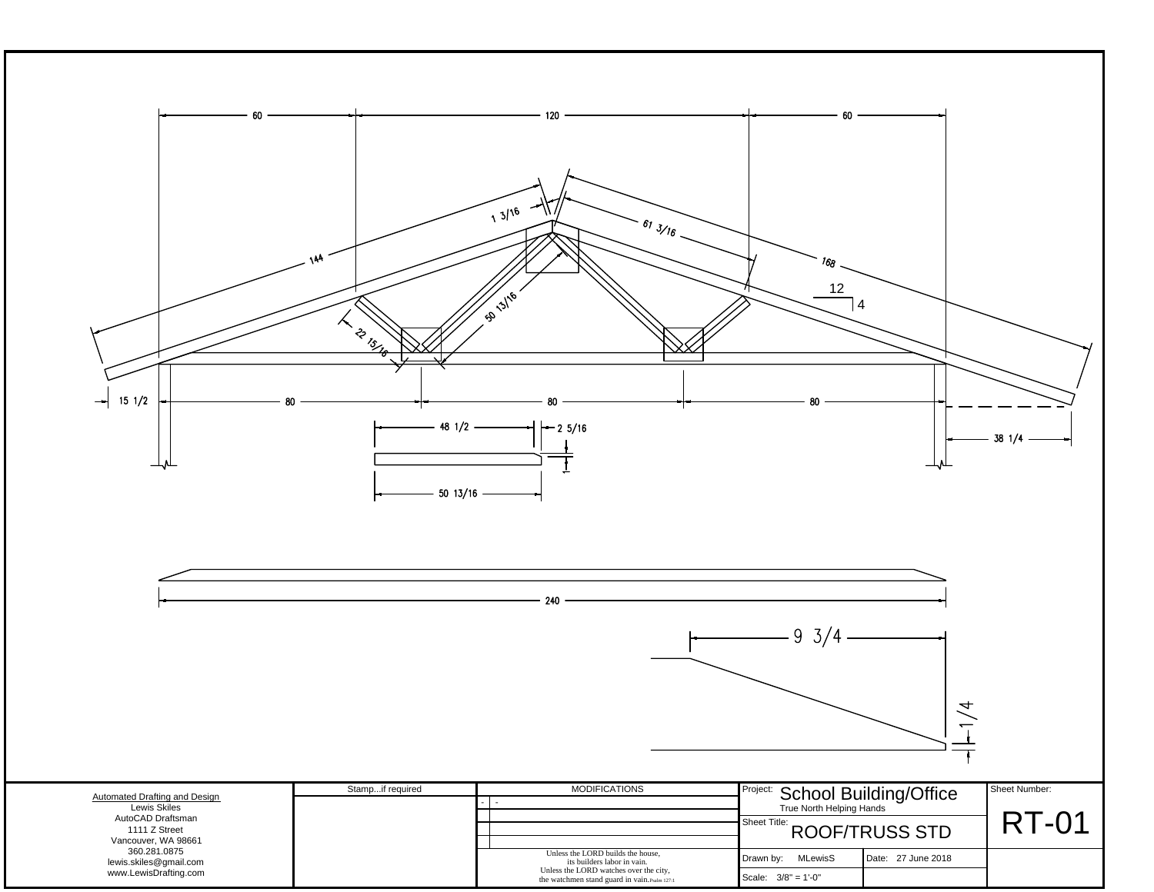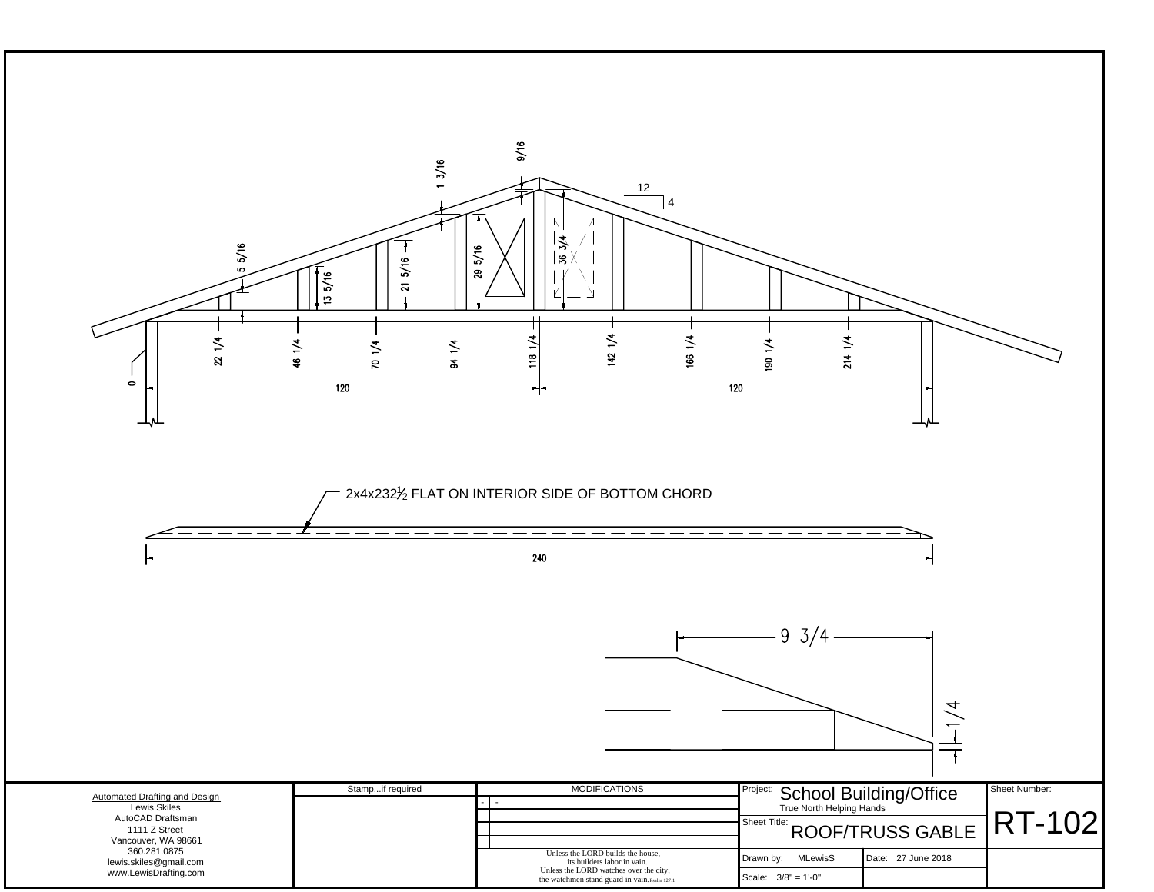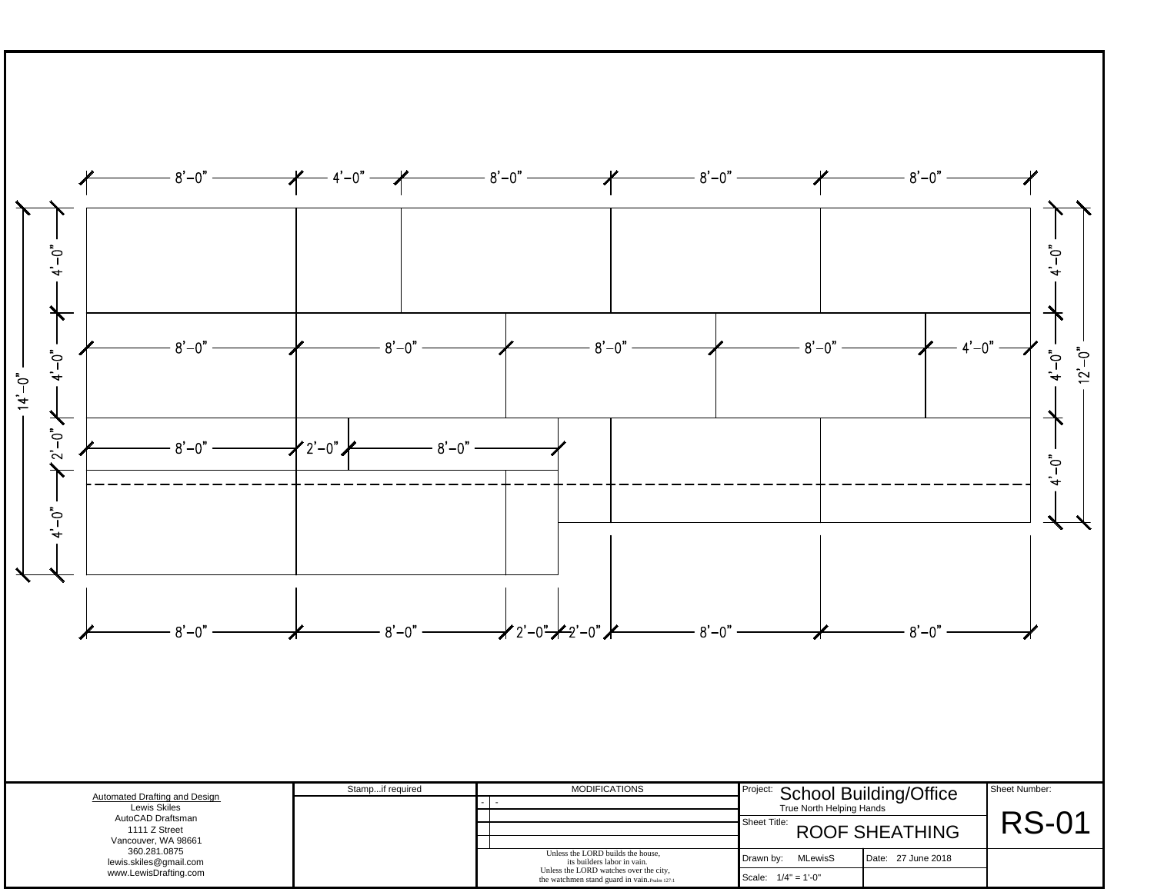